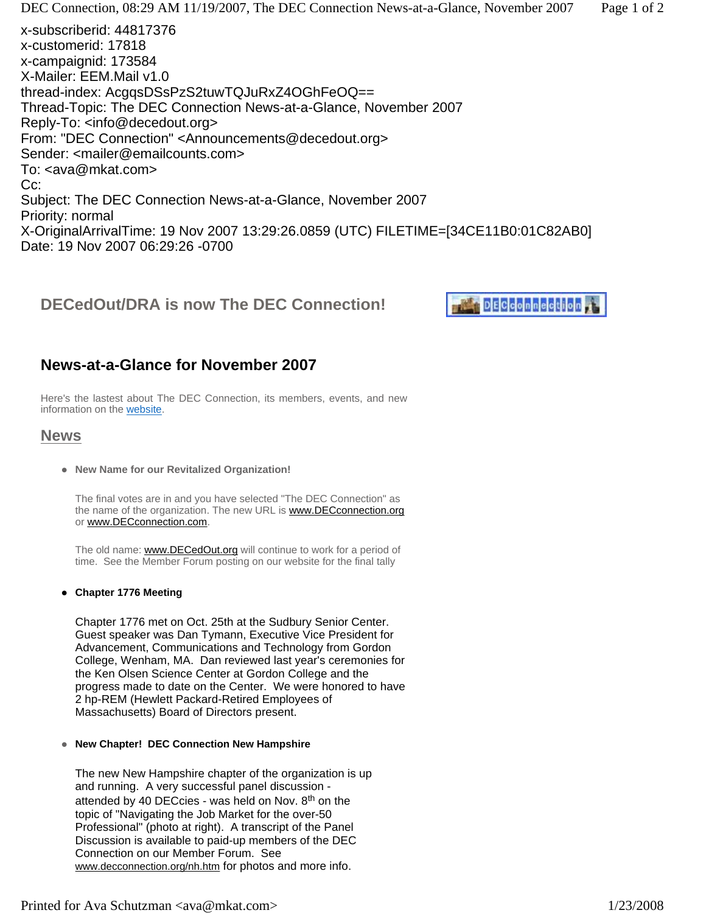$X\subset\mathcal{Y}$  arrives the 19 Nov 2007 13:29:26.0859 (UTC) Files arrives the 19 Nov 2007 13:29:26.0859 (UTC) Files arrives the 19 Nov 2007 13:29:26.0859 (UTC) Files arrives the 19 Nov 2008 (UTC) Files are 19 Nov 2008 (UTC) F Date: 19 Nov 2007 06:29:26 -0700

# **DECedOut/DRA is now The DEC Connection!**



## **News-at-a-Glance for November 2007**

Here's the lastest about The DEC Connection, its members, events, and new information on the website.

## **News**

**• New Name for our Revitalized Organization!** 

The final votes are in and you have selected "The DEC Connection" as the name of the organization. The new URL is **www.DECconnection.org** or www.DECconnection.com.

The old name: www.DECedOut.org will continue to work for a period of time. See the Member Forum posting on our website for the final tally

#### **• Chapter 1776 Meeting**

Chapter 1776 met on Oct. 25th at the Sudbury Senior Center. Guest speaker was Dan Tymann, Executive Vice President for Advancement, Communications and Technology from Gordon College, Wenham, MA. Dan reviewed last year's ceremonies for the Ken Olsen Science Center at Gordon College and the progress made to date on the Center. We were honored to have 2 hp-REM (Hewlett Packard-Retired Employees of Massachusetts) Board of Directors present.

#### **• New Chapter! DEC Connection New Hampshire**

The new New Hampshire chapter of the organization is up and running. A very successful panel discussion attended by 40 DECcies - was held on Nov.  $8<sup>th</sup>$  on the topic of "Navigating the Job Market for the over-50 Professional" (photo at right). A transcript of the Panel Discussion is available to paid-up members of the DEC Connection on our Member Forum. See www.decconnection.org/nh.htm for photos and more info.